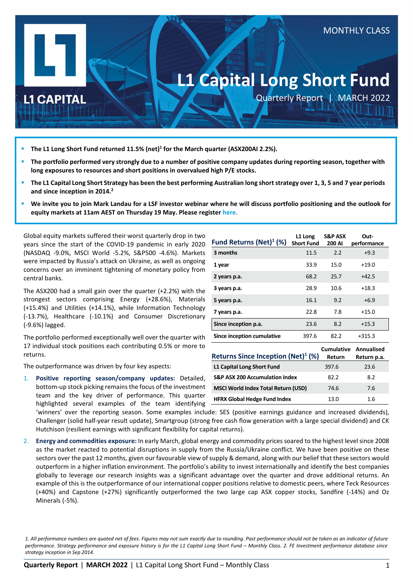# **L1 Capital Long Short Fund**

Quarterly Report | MARCH 2022

MONTHLY CLASS

## **L1 CAPITAL**

- **The L1 Long Short Fund returned 11.5% (net)1 for the March quarter (ASX200AI 2.2%).**
- **The portfolio performed very strongly due to a number of positive company updates during reporting season, together with long exposures to resources and short positions in overvalued high P/E stocks.**
- **The L1 Capital Long Short Strategy has been the best performing Australian long short strategy over 1, 3, 5 and 7 year periods and since inception in 2014.2**
- **We invite you to join Mark Landau for a LSF investor webinar where he will discuss portfolio positioning and the outlook for equity markets at 11am AEST on Thursday 19 May. Please register [here](https://attendee.gotowebinar.com/register/6776283986628067088?source=LSFQR)**.

Global equity markets suffered their worst quarterly drop in two years since the start of the COVID-19 pandemic in early 2020 (NASDAQ -9.0%, MSCI World -5.2%, S&P500 -4.6%). Markets were impacted by Russia's attack on Ukraine, as well as ongoing concerns over an imminent tightening of monetary policy from central banks.

The ASX200 had a small gain over the quarter (+2.2%) with the strongest sectors comprising Energy (+28.6%), Materials (+15.4%) and Utilities (+14.1%), while Information Technology (-13.7%), Healthcare (-10.1%) and Consumer Discretionary (-9.6%) lagged.

The portfolio performed exceptionally well over the quarter with 17 individual stock positions each contributing 0.5% or more to returns.

The outperformance was driven by four key aspects:

1. **Positive reporting season/company updates:** Detailed, bottom-up stock picking remains the focus of the investment team and the key driver of performance. This quarter highlighted several examples of the team identifying

| Fund Returns $(Net)^1$ (%) | L1 Long<br><b>Short Fund</b> | <b>S&amp;P ASX</b><br>200 AI | Out-<br>performance |
|----------------------------|------------------------------|------------------------------|---------------------|
| 3 months                   | 11.5                         | 2.2                          | $+9.3$              |
| 1 year                     | 33.9                         | 15.0                         | $+19.0$             |
| 2 years p.a.               | 68.2                         | 25.7                         | $+42.5$             |
| 3 years p.a.               | 28.9                         | 10.6                         | $+18.3$             |
| 5 years p.a.               | 16.1                         | 9.2                          | $+6.9$              |
| 7 years p.a.               | 22.8                         | 7.8                          | $+15.0$             |
| Since inception p.a.       | 23.6                         | 8.2                          | $+15.3$             |
| Since inception cumulative | 397.6                        | 82.2                         | $+315.3$            |

|                                                | Cumulative | Annualised  |
|------------------------------------------------|------------|-------------|
| Returns Since Inception (Net) <sup>1</sup> (%) | Return     | Return p.a. |
| L1 Capital Long Short Fund                     | 397.6      | 23.6        |
| <b>S&amp;P ASX 200 Accumulation Index</b>      | 82.2       | 8.2         |
| <b>MSCI World Index Total Return (USD)</b>     | 74.6       | 7.6         |
| <b>HFRX Global Hedge Fund Index</b>            | 13.0       | 1.6         |

'winners' over the reporting season. Some examples include: SES (positive earnings guidance and increased dividends), Challenger (solid half-year result update), Smartgroup (strong free cash flow generation with a large special dividend) and CK Hutchison (resilient earnings with significant flexibility for capital returns).

2. **Energy and commodities exposure:** In early March, global energy and commodity prices soared to the highest level since 2008 as the market reacted to potential disruptions in supply from the Russia/Ukraine conflict. We have been positive on these sectors over the past 12 months, given our favourable view of supply & demand, along with our belief that these sectors would outperform in a higher inflation environment. The portfolio's ability to invest internationally and identify the best companies globally to leverage our research insights was a significant advantage over the quarter and drove additional returns. An example of this is the outperformance of our international copper positions relative to domestic peers, where Teck Resources (+40%) and Capstone (+27%) significantly outperformed the two large cap ASX copper stocks, Sandfire (-14%) and Oz Minerals (-5%).

*<sup>1.</sup> All performance numbers are quoted net of fees. Figures may not sum exactly due to rounding. Past performance should not be taken as an indicator of future performance. Strategy performance and exposure history is for the L1 Capital Long Short Fund – Monthly Class. 2. FE Investment performance database since strategy inception in Sep 2014.*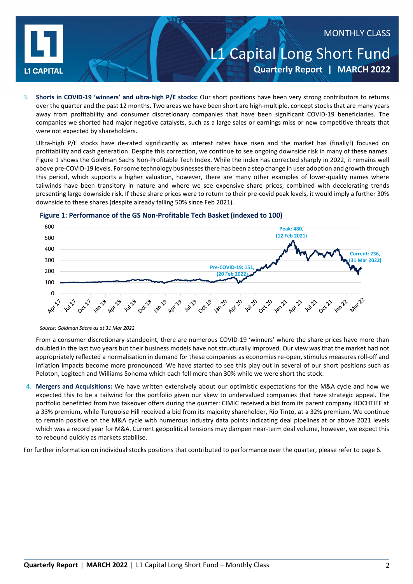

# L1 Capital Long Short Fund **Quarterly Report | MARCH 2022** MONTHLY CLASS

3. **Shorts in COVID-19 'winners' and ultra-high P/E stocks:** Our short positions have been very strong contributors to returns over the quarter and the past 12 months. Two areas we have been short are high-multiple, concept stocks that are many years away from profitability and consumer discretionary companies that have been significant COVID-19 beneficiaries. The companies we shorted had major negative catalysts, such as a large sales or earnings miss or new competitive threats that were not expected by shareholders.

Ultra-high P/E stocks have de-rated significantly as interest rates have risen and the market has (finally!) focused on profitability and cash generation. Despite this correction, we continue to see ongoing downside risk in many of these names. Figure 1 shows the Goldman Sachs Non-Profitable Tech Index. While the index has corrected sharply in 2022, it remains well above pre-COVID-19 levels. For some technology businesses there has been a step change in user adoption and growth through this period, which supports a higher valuation, however, there are many other examples of lower-quality names where tailwinds have been transitory in nature and where we see expensive share prices, combined with decelerating trends presenting large downside risk. If these share prices were to return to their pre-covid peak levels, it would imply a further 30% downside to these shares (despite already falling 50% since Feb 2021).



#### **Figure 1: Performance of the GS Non-Profitable Tech Basket (indexed to 100)**

From a consumer discretionary standpoint, there are numerous COVID-19 'winners' where the share prices have more than doubled in the last two years but their business models have not structurally improved. Our view was that the market had not appropriately reflected a normalisation in demand for these companies as economies re-open, stimulus measures roll-off and inflation impacts become more pronounced. We have started to see this play out in several of our short positions such as Peloton, Logitech and Williams Sonoma which each fell more than 30% while we were short the stock.

4. **Mergers and Acquisitions:** We have written extensively about our optimistic expectations for the M&A cycle and how we expected this to be a tailwind for the portfolio given our skew to undervalued companies that have strategic appeal. The portfolio benefitted from two takeover offers during the quarter: CIMIC received a bid from its parent company HOCHTIEF at a 33% premium, while Turquoise Hill received a bid from its majority shareholder, Rio Tinto, at a 32% premium. We continue to remain positive on the M&A cycle with numerous industry data points indicating deal pipelines at or above 2021 levels which was a record year for M&A. Current geopolitical tensions may dampen near-term deal volume, however, we expect this to rebound quickly as markets stabilise.

For further information on individual stocks positions that contributed to performance over the quarter, please refer to page 6.

*Source: Goldman Sachs as at 31 Mar 2022.*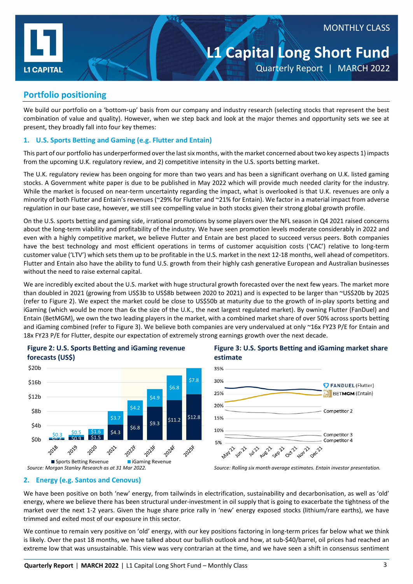

# **L1 Capital Long Short Fund** Quarterly Report | MARCH 2022

#### **Portfolio positioning**

We build our portfolio on a 'bottom-up' basis from our company and industry research (selecting stocks that represent the best combination of value and quality). However, when we step back and look at the major themes and opportunity sets we see at present, they broadly fall into four key themes:

#### **1. U.S. Sports Betting and Gaming (e.g. Flutter and Entain)**

This part of our portfolio has underperformed over the last six months, with the market concerned about two key aspects 1) impacts from the upcoming U.K. regulatory review, and 2) competitive intensity in the U.S. sports betting market.

The U.K. regulatory review has been ongoing for more than two years and has been a significant overhang on U.K. listed gaming stocks. A Government white paper is due to be published in May 2022 which will provide much needed clarity for the industry. While the market is focused on near-term uncertainty regarding the impact, what is overlooked is that U.K. revenues are only a minority of both Flutter and Entain's revenues (~29% for Flutter and ~21% for Entain). We factor in a material impact from adverse regulation in our base case, however, we still see compelling value in both stocks given their strong global growth profile.

On the U.S. sports betting and gaming side, irrational promotions by some players over the NFL season in Q4 2021 raised concerns about the long-term viability and profitability of the industry. We have seen promotion levels moderate considerably in 2022 and even with a highly competitive market, we believe Flutter and Entain are best placed to succeed versus peers. Both companies have the best technology and most efficient operations in terms of customer acquisition costs ('CAC') relative to long-term customer value ('LTV') which sets them up to be profitable in the U.S. market in the next 12-18 months, well ahead of competitors. Flutter and Entain also have the ability to fund U.S. growth from their highly cash generative European and Australian businesses without the need to raise external capital.

We are incredibly excited about the U.S. market with huge structural growth forecasted over the next few years. The market more than doubled in 2021 (growing from US\$3b to US\$8b between 2020 to 2021) and is expected to be larger than ~US\$20b by 2025 (refer to Figure 2). We expect the market could be close to US\$50b at maturity due to the growth of in-play sports betting and iGaming (which would be more than 6x the size of the U.K., the next largest regulated market). By owning Flutter (FanDuel) and Entain (BetMGM), we own the two leading players in the market, with a combined market share of over 50% across sports betting and iGaming combined (refer to Figure 3). We believe both companies are very undervalued at only ~16x FY23 P/E for Entain and 18x FY23 P/E for Flutter, despite our expectation of extremely strong earnings growth over the next decade.



# **Figure 2: U.S. Sports Betting and iGaming revenue**

*Source: Morgan Stanley Research as at 31 Mar 2022. Source: Rolling six month average estimates. Entain investor presentation.*

We have been positive on both 'new' energy, from tailwinds in electrification, sustainability and decarbonisation, as well as 'old' energy, where we believe there has been structural under-investment in oil supply that is going to exacerbate the tightness of the market over the next 1-2 years. Given the huge share price rally in 'new' energy exposed stocks (lithium/rare earths), we have trimmed and exited most of our exposure in this sector.

We continue to remain very positive on 'old' energy, with our key positions factoring in long-term prices far below what we think is likely. Over the past 18 months, we have talked about our bullish outlook and how, at sub-\$40/barrel, oil prices had reached an extreme low that was unsustainable. This view was very contrarian at the time, and we have seen a shift in consensus sentiment

<sup>35%</sup>  $30%$ **7 FANDUEL (Flutter)** 25% BETMGM (Entain) 20% Competitor 2 15% 10% Competitor 3 Competitor 4 5% **White Proce**r **What's Sep** 21 Nov 21 Dec<sub>211</sub> Aug21

**Figure 3: U.S. Sports Betting and iGaming market share estimate** 

**<sup>2.</sup> Energy (e.g. Santos and Cenovus)**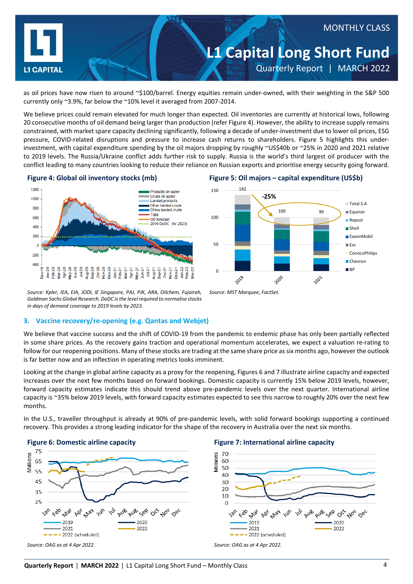

as oil prices have now risen to around ~\$100/barrel. Energy equities remain under-owned, with their weighting in the S&P 500 currently only ~3.9%, far below the ~10% level it averaged from 2007-2014.

We believe prices could remain elevated for much longer than expected. Oil inventories are currently at historical lows, following 20 consecutive months of oil demand being larger than production (refer Figure 4). However, the ability to increase supply remains constrained, with market spare capacity declining significantly, following a decade of under-investment due to lower oil prices, ESG pressure, COVID-related disruptions and pressure to increase cash returns to shareholders. Figure 5 highlights this underinvestment, with capital expenditure spending by the oil majors dropping by roughly ~US\$40b or ~25% in 2020 and 2021 relative to 2019 levels. The Russia/Ukraine conflict adds further risk to supply. Russia is the world's third largest oil producer with the conflict leading to many countries looking to reduce their reliance on Russian exports and prioritise energy security going forward.



#### **Figure 4: Global oil inventory stocks (mb) Figure 5: Oil majors – capital expenditure (US\$b)**



*Source: Kpler, IEA, EIA, JODI, IE Singapore, PAJ, PJK, ARA, Oilchem, Fujairah, Goldman Sachs Global Research. DoDC isthe level required to normalise stocks in days of demand coverage to 2019 levels by 2023.*

#### **3. Vaccine recovery/re-opening (e.g. Qantas and Webjet)**

We believe that vaccine success and the shift of COVID-19 from the pandemic to endemic phase has only been partially reflected in some share prices. As the recovery gains traction and operational momentum accelerates, we expect a valuation re-rating to follow for our reopening positions. Many of these stocks are trading at the same share price as six months ago, however the outlook is far better now and an inflection in operating metrics looks imminent.

*Source: MST Marquee, FactSet.*

Looking at the change in global airline capacity as a proxy for the reopening, Figures 6 and 7 illustrate airline capacity and expected increases over the next few months based on forward bookings. Domestic capacity is currently 15% below 2019 levels, however, forward capacity estimates indicate this should trend above pre-pandemic levels over the next quarter. International airline capacity is ~35% below 2019 levels, with forward capacity estimates expected to see this narrow to roughly 20% over the next few months.

In the U.S., traveller throughput is already at 90% of pre-pandemic levels, with solid forward bookings supporting a continued recovery. This provides a strong leading indicator for the shape of the recovery in Australia over the next six months.



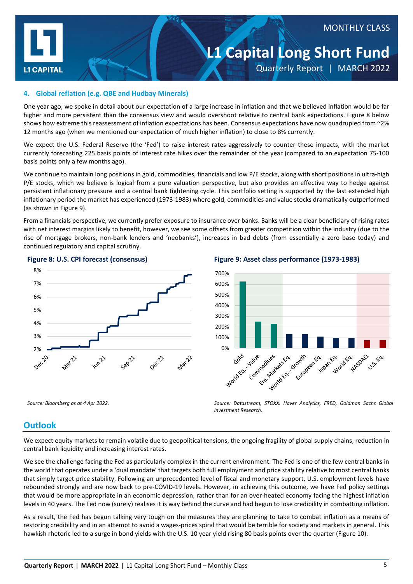

### MONTHLY CLASS

# **L1 Capital Long Short Fund**

Quarterly Report | MARCH 2022

#### **4. Global reflation (e.g. QBE and Hudbay Minerals)**

One year ago, we spoke in detail about our expectation of a large increase in inflation and that we believed inflation would be far higher and more persistent than the consensus view and would overshoot relative to central bank expectations. Figure 8 below shows how extreme this reassessment of inflation expectations has been. Consensus expectations have now quadrupled from ~2% 12 months ago (when we mentioned our expectation of much higher inflation) to close to 8% currently.

We expect the U.S. Federal Reserve (the 'Fed') to raise interest rates aggressively to counter these impacts, with the market currently forecasting 225 basis points of interest rate hikes over the remainder of the year (compared to an expectation 75-100 basis points only a few months ago).

We continue to maintain long positions in gold, commodities, financials and low P/E stocks, along with short positions in ultra-high P/E stocks, which we believe is logical from a pure valuation perspective, but also provides an effective way to hedge against persistent inflationary pressure and a central bank tightening cycle. This portfolio setting is supported by the last extended high inflationary period the market has experienced (1973-1983) where gold, commodities and value stocks dramatically outperformed (as shown in Figure 9).

From a financials perspective, we currently prefer exposure to insurance over banks. Banks will be a clear beneficiary of rising rates with net interest margins likely to benefit, however, we see some offsets from greater competition within the industry (due to the rise of mortgage brokers, non-bank lenders and 'neobanks'), increases in bad debts (from essentially a zero base today) and continued regulatory and capital scrutiny.



**Figure 8: U.S. CPI forecast (consensus) Figure 9: Asset class performance (1973-1983)**



*Source: Bloomberg as at 4 Apr 2022. Source: Datastream, STOXX, Haver Analytics, FRED, Goldman Sachs Global Investment Research.*

#### **Outlook**

We expect equity markets to remain volatile due to geopolitical tensions, the ongoing fragility of global supply chains, reduction in central bank liquidity and increasing interest rates.

We see the challenge facing the Fed as particularly complex in the current environment. The Fed is one of the few central banks in the world that operates under a 'dual mandate' that targets both full employment and price stability relative to most central banks that simply target price stability. Following an unprecedented level of fiscal and monetary support, U.S. employment levels have rebounded strongly and are now back to pre-COVID-19 levels. However, in achieving this outcome, we have Fed policy settings that would be more appropriate in an economic depression, rather than for an over-heated economy facing the highest inflation levels in 40 years. The Fed now (surely) realises it is way behind the curve and had begun to lose credibility in combatting inflation.

As a result, the Fed has begun talking very tough on the measures they are planning to take to combat inflation as a means of restoring credibility and in an attempt to avoid a wages-prices spiral that would be terrible for society and markets in general. This hawkish rhetoric led to a surge in bond yields with the U.S. 10 year yield rising 80 basis points over the quarter (Figure 10).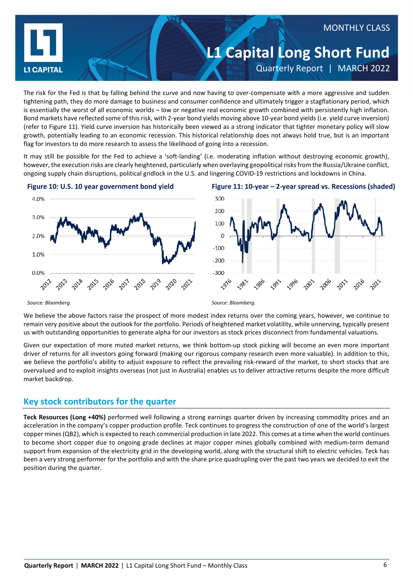

The risk for the Fed is that by falling behind the curve and now having to over-compensate with a more aggressive and sudden tightening path, they do more damage to business and consumer confidence and ultimately trigger a stagflationary period, which is essentially the worst of all economic worlds – low or negative real economic growth combined with persistently high inflation. Bond markets have reflected some of this risk, with 2-year bond yields moving above 10-year bond yields (i.e. yield curve inversion) (refer to Figure 11). Yield curve inversion has historically been viewed as a strong indicator that tighter monetary policy will slow growth, potentially leading to an economic recession. This historical relationship does not always hold true, but is an important flag for investors to do more research to assess the likelihood of going into a recession.

It may still be possible for the Fed to achieve a 'soft-landing' (i.e. moderating inflation without destroying economic growth), however, the execution risks are clearly heightened, particularly when overlaying geopolitical risks from the Russia/Ukraine conflict, ongoing supply chain disruptions, political gridlock in the U.S. and lingering COVID-19 restrictions and lockdowns in China.







*Source: Bloomberg. Source: Bloomberg.*

We believe the above factors raise the prospect of more modest index returns over the coming years, however, we continue to remain very positive about the outlook for the portfolio. Periods of heightened market volatility, while unnerving, typically present us with outstanding opportunities to generate alpha for our investors as stock prices disconnect from fundamental valuations.

Given our expectation of more muted market returns, we think bottom-up stock picking will become an even more important driver of returns for all investors going forward (making our rigorous company research even more valuable). In addition to this, we believe the portfolio's ability to adjust exposure to reflect the prevailing risk-reward of the market, to short stocks that are overvalued and to exploit insights overseas (not just in Australia) enables us to deliver attractive returns despite the more difficult market backdrop.

## **Key stock contributors for the quarter**

**Teck Resources (Long +40%)** performed well following a strong earnings quarter driven by increasing commodity prices and an acceleration in the company's copper production profile. Teck continues to progress the construction of one of the world's largest copper mines (QB2), which is expected to reach commercial production in late 2022. This comes at a time when the world continues to become short copper due to ongoing grade declines at major copper mines globally combined with medium-term demand support from expansion of the electricity grid in the developing world, along with the structural shift to electric vehicles. Teck has been a very strong performer for the portfolio and with the share price quadrupling over the past two years we decided to exit the position during the quarter.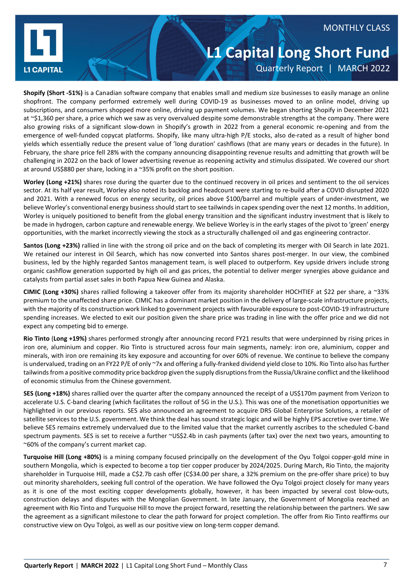

#### MONTHLY CLASS

# **L1 Capital Long Short Fund** Quarterly Report | MARCH 2022

**Shopify (Short -51%)** is a Canadian software company that enables small and medium size businesses to easily manage an online shopfront. The company performed extremely well during COVID-19 as businesses moved to an online model, driving up subscriptions, and consumers shopped more online, driving up payment volumes. We began shorting Shopify in December 2021 at ~\$1,360 per share, a price which we saw as very overvalued despite some demonstrable strengths at the company. There were also growing risks of a significant slow-down in Shopify's growth in 2022 from a general economic re-opening and from the emergence of well-funded copycat platforms. Shopify, like many ultra-high P/E stocks, also de-rated as a result of higher bond yields which essentially reduce the present value of 'long duration' cashflows (that are many years or decades in the future). In February, the share price fell 28% with the company announcing disappointing revenue results and admitting that growth will be challenging in 2022 on the back of lower advertising revenue as reopening activity and stimulus dissipated. We covered our short at around US\$880 per share, locking in a ~35% profit on the short position.

**Worley (Long +21%)** shares rose during the quarter due to the continued recovery in oil prices and sentiment to the oil services sector. At its half year result, Worley also noted its backlog and headcount were starting to re-build after a COVID disrupted 2020 and 2021. With a renewed focus on energy security, oil prices above \$100/barrel and multiple years of under-investment, we believe Worley's conventional energy business should start to see tailwinds in capex spending over the next 12 months. In addition, Worley is uniquely positioned to benefit from the global energy transition and the significant industry investment that is likely to be made in hydrogen, carbon capture and renewable energy. We believe Worley is in the early stages of the pivot to 'green' energy opportunities, with the market incorrectly viewing the stock as a structurally challenged oil and gas engineering contractor.

**Santos (Long +23%)** rallied in line with the strong oil price and on the back of completing its merger with Oil Search in late 2021. We retained our interest in Oil Search, which has now converted into Santos shares post-merger. In our view, the combined business, led by the highly regarded Santos management team, is well placed to outperform. Key upside drivers include strong organic cashflow generation supported by high oil and gas prices, the potential to deliver merger synergies above guidance and catalysts from partial asset sales in both Papua New Guinea and Alaska.

**CIMIC (Long +30%)** shares rallied following a takeover offer from its majority shareholder HOCHTIEF at \$22 per share, a ~33% premium to the unaffected share price. CIMIC has a dominant market position in the delivery of large-scale infrastructure projects, with the majority of its construction work linked to government projects with favourable exposure to post-COVID-19 infrastructure spending increases. We elected to exit our position given the share price was trading in line with the offer price and we did not expect any competing bid to emerge.

**Rio Tinto** (**Long +19%)** shares performed strongly after announcing record FY21 results that were underpinned by rising prices in iron ore, aluminium and copper. Rio Tinto is structured across four main segments, namely: iron ore, aluminium, copper and minerals, with iron ore remaining its key exposure and accounting for over 60% of revenue. We continue to believe the company is undervalued, trading on an FY22 P/E of only ~7x and offering a fully-franked dividend yield close to 10%. Rio Tinto also has further tailwinds from a positive commodity price backdrop given the supply disruptions from the Russia/Ukraine conflict and the likelihood of economic stimulus from the Chinese government.

**SES (Long +18%)** shares rallied over the quarter after the company announced the receipt of a US\$170m payment from Verizon to accelerate U.S. C-band clearing (which facilitates the rollout of 5G in the U.S.). This was one of the monetisation opportunities we highlighted in our previous reports. SES also announced an agreement to acquire DRS Global Enterprise Solutions, a retailer of satellite services to the U.S. government. We think the deal has sound strategic logic and will be highly EPS accretive over time. We believe SES remains extremely undervalued due to the limited value that the market currently ascribes to the scheduled C-band spectrum payments. SES is set to receive a further ~US\$2.4b in cash payments (after tax) over the next two years, amounting to ~60% of the company's current market cap.

**Turquoise Hill (Long +80%)** is a mining company focused principally on the development of the Oyu Tolgoi copper-gold mine in southern Mongolia, which is expected to become a top tier copper producer by 2024/2025. During March, Rio Tinto, the majority shareholder in Turquoise Hill, made a C\$2.7b cash offer (C\$34.00 per share, a 32% premium on the pre-offer share price) to buy out minority shareholders, seeking full control of the operation. We have followed the Oyu Tolgoi project closely for many years as it is one of the most exciting copper developments globally, however, it has been impacted by several cost blow-outs, construction delays and disputes with the Mongolian Government. In late January, the Government of Mongolia reached an agreement with Rio Tinto and Turquoise Hill to move the project forward, resetting the relationship between the partners. We saw the agreement as a significant milestone to clear the path forward for project completion. The offer from Rio Tinto reaffirms our constructive view on Oyu Tolgoi, as well as our positive view on long-term copper demand.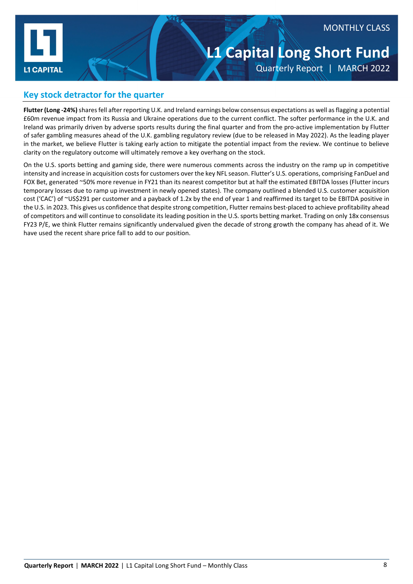

#### MONTHLY CLASS

# **L1 Capital Long Short Fund** Quarterly Report | MARCH 2022

#### **Key stock detractor for the quarter**

**Flutter (Long -24%)** shares fell after reporting U.K. and Ireland earnings below consensus expectations as well as flagging a potential £60m revenue impact from its Russia and Ukraine operations due to the current conflict. The softer performance in the U.K. and Ireland was primarily driven by adverse sports results during the final quarter and from the pro-active implementation by Flutter of safer gambling measures ahead of the U.K. gambling regulatory review (due to be released in May 2022). As the leading player in the market, we believe Flutter is taking early action to mitigate the potential impact from the review. We continue to believe clarity on the regulatory outcome will ultimately remove a key overhang on the stock.

On the U.S. sports betting and gaming side, there were numerous comments across the industry on the ramp up in competitive intensity and increase in acquisition costs for customers over the key NFL season. Flutter's U.S. operations, comprising FanDuel and FOX Bet, generated ~50% more revenue in FY21 than its nearest competitor but at half the estimated EBITDA losses (Flutter incurs temporary losses due to ramp up investment in newly opened states). The company outlined a blended U.S. customer acquisition cost ('CAC') of ~US\$291 per customer and a payback of 1.2x by the end of year 1 and reaffirmed its target to be EBITDA positive in the U.S. in 2023. This gives us confidence that despite strong competition, Flutter remains best-placed to achieve profitability ahead of competitors and will continue to consolidate its leading position in the U.S. sports betting market. Trading on only 18x consensus FY23 P/E, we think Flutter remains significantly undervalued given the decade of strong growth the company has ahead of it. We have used the recent share price fall to add to our position.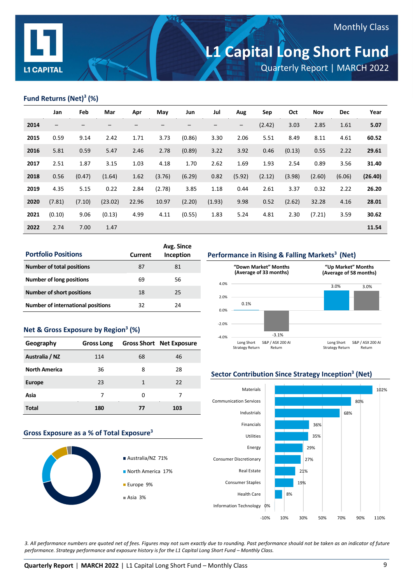

## Monthly Class

# **L1 Capital Long Short Fund**

Quarterly Report | MARCH 2022

#### **Fund Returns (Net)3 (%)**

|      | Jan                      | Feb    | Mar     | Apr   | May    | Jun    | Jul    | Aug               | Sep    | Oct    | Nov    | <b>Dec</b> | Year    |
|------|--------------------------|--------|---------|-------|--------|--------|--------|-------------------|--------|--------|--------|------------|---------|
| 2014 | $\overline{\phantom{0}}$ |        |         |       |        |        |        | $\qquad \qquad -$ | (2.42) | 3.03   | 2.85   | 1.61       | 5.07    |
| 2015 | 0.59                     | 9.14   | 2.42    | 1.71  | 3.73   | (0.86) | 3.30   | 2.06              | 5.51   | 8.49   | 8.11   | 4.61       | 60.52   |
| 2016 | 5.81                     | 0.59   | 5.47    | 2.46  | 2.78   | (0.89) | 3.22   | 3.92              | 0.46   | (0.13) | 0.55   | 2.22       | 29.61   |
| 2017 | 2.51                     | 1.87   | 3.15    | 1.03  | 4.18   | 1.70   | 2.62   | 1.69              | 1.93   | 2.54   | 0.89   | 3.56       | 31.40   |
| 2018 | 0.56                     | (0.47) | (1.64)  | 1.62  | (3.76) | (6.29) | 0.82   | (5.92)            | (2.12) | (3.98) | (2.60) | (6.06)     | (26.40) |
| 2019 | 4.35                     | 5.15   | 0.22    | 2.84  | (2.78) | 3.85   | 1.18   | 0.44              | 2.61   | 3.37   | 0.32   | 2.22       | 26.20   |
| 2020 | (7.81)                   | (7.10) | (23.02) | 22.96 | 10.97  | (2.20) | (1.93) | 9.98              | 0.52   | (2.62) | 32.28  | 4.16       | 28.01   |
| 2021 | (0.10)                   | 9.06   | (0.13)  | 4.99  | 4.11   | (0.55) | 1.83   | 5.24              | 4.81   | 2.30   | (7.21) | 3.59       | 30.62   |
| 2022 | 2.74                     | 7.00   | 1.47    |       |        |        |        |                   |        |        |        |            | 11.54   |

| <b>Portfolio Positions</b>               | Current | Avg. Since<br>Inception |
|------------------------------------------|---------|-------------------------|
| <b>Number of total positions</b>         | 87      | 81                      |
| <b>Number of long positions</b>          | 69      | 56                      |
| <b>Number of short positions</b>         | 18      | 25                      |
| <b>Number of international positions</b> | 32      | 24                      |

#### **Net & Gross Exposure by Region3 (%)**

| Geography            | <b>Gross Long</b> |    | <b>Gross Short Net Exposure</b> |
|----------------------|-------------------|----|---------------------------------|
| Australia / NZ       | 114               | 68 | 46                              |
| <b>North America</b> | 36                | 8  | 28                              |
| <b>Europe</b>        | 23                | 1  | 22                              |
| Asia                 | 7                 | O  | 7                               |
| Total                | 180               | 77 | 103                             |

#### **Gross Exposure as a % of Total Exposure3**



- Australia/NZ 71%
- 





#### **Sector Contribution Since Strategy Inception3 (Net)**



*3. All performance numbers are quoted net of fees. Figures may not sum exactly due to rounding. Past performance should not be taken as an indicator of future performance. Strategy performance and exposure history is for the L1 Capital Long Short Fund – Monthly Class.*